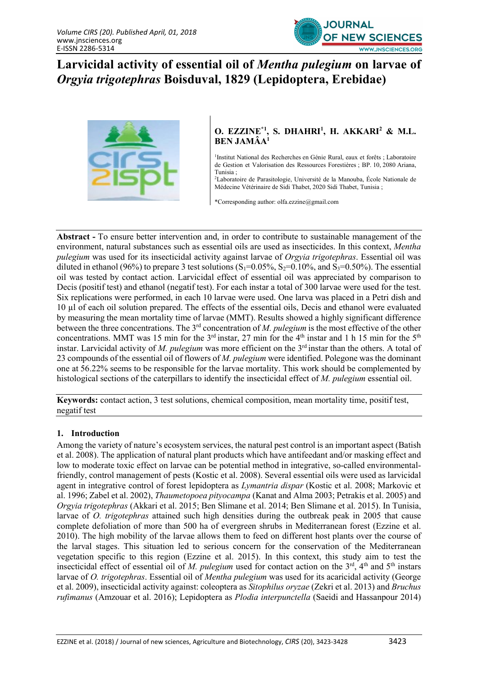

# Larvicidal activity of essential oil of Mentha pulegium on larvae of Orgyia trigotephras Boisduval, 1829 (Lepidoptera, Erebidae)



## O. EZZINE $*$ <sup>1</sup>, S. DHAHRI<sup>1</sup>, H. AKKARI<sup>2</sup> & M.L. BEN JAMÂA<sup>1</sup>

<sup>1</sup>Institut National des Recherches en Génie Rural, eaux et forêts ; Laboratoire de Gestion et Valorisation des Ressources Forestières ; BP. 10, 2080 Ariana, Tunisia ;

<sup>2</sup>Laboratoire de Parasitologie, Université de la Manouba, École Nationale de Médecine Vétérinaire de Sidi Thabet, 2020 Sidi Thabet, Tunisia ;

\*Corresponding author: olfa.ezzine@gmail.com

Abstract - To ensure better intervention and, in order to contribute to sustainable management of the environment, natural substances such as essential oils are used as insecticides. In this context, Mentha pulegium was used for its insecticidal activity against larvae of Orgyia trigotephras. Essential oil was diluted in ethanol (96%) to prepare 3 test solutions (S<sub>1</sub>=0.05%, S<sub>2</sub>=0.10%, and S<sub>3</sub>=0.50%). The essential oil was tested by contact action. Larvicidal effect of essential oil was appreciated by comparison to Decis (positif test) and ethanol (negatif test). For each instar a total of 300 larvae were used for the test. Six replications were performed, in each 10 larvae were used. One larva was placed in a Petri dish and 10 µl of each oil solution prepared. The effects of the essential oils, Decis and ethanol were evaluated by measuring the mean mortality time of larvae (MMT). Results showed a highly significant difference between the three concentrations. The  $3<sup>rd</sup>$  concentration of M. pulegium is the most effective of the other concentrations. MMT was 15 min for the 3<sup>rd</sup> instar, 27 min for the 4<sup>th</sup> instar and 1 h 15 min for the 5<sup>th</sup> instar. Larvicidal activity of M. pulegium was more efficient on the  $3<sup>rd</sup>$  instar than the others. A total of 23 compounds of the essential oil of flowers of M. pulegium were identified. Polegone was the dominant one at 56.22% seems to be responsible for the larvae mortality. This work should be complemented by histological sections of the caterpillars to identify the insecticidal effect of M. pulegium essential oil.

Keywords: contact action, 3 test solutions, chemical composition, mean mortality time, positif test, negatif test

#### 1. Introduction

Among the variety of nature's ecosystem services, the natural pest control is an important aspect (Batish et al. 2008). The application of natural plant products which have antifeedant and/or masking effect and low to moderate toxic effect on larvae can be potential method in integrative, so-called environmentalfriendly, control management of pests (Kostic et al. 2008). Several essential oils were used as larvicidal agent in integrative control of forest lepidoptera as Lymantria dispar (Kostic et al. 2008; Markovic et al. 1996; Zabel et al. 2002), Thaumetopoea pityocampa (Kanat and Alma 2003; Petrakis et al. 2005) and Orgyia trigotephras (Akkari et al. 2015; Ben Slimane et al. 2014; Ben Slimane et al. 2015). In Tunisia, larvae of O. trigotephras attained such high densities during the outbreak peak in 2005 that cause complete defoliation of more than 500 ha of evergreen shrubs in Mediterranean forest (Ezzine et al. 2010). The high mobility of the larvae allows them to feed on different host plants over the course of the larval stages. This situation led to serious concern for the conservation of the Mediterranean vegetation specific to this region (Ezzine et al. 2015). In this context, this study aim to test the insecticidal effect of essential oil of M. pulegium used for contact action on the  $3<sup>rd</sup>$ , 4<sup>th</sup> and 5<sup>th</sup> instars larvae of O. trigotephras. Essential oil of Mentha pulegium was used for its acaricidal activity (George et al. 2009), insecticidal activity against: coleoptera as Sitophilus oryzae (Zekri et al. 2013) and Bruchus rufimanus (Amzouar et al. 2016); Lepidoptera as Plodia interpunctella (Saeidi and Hassanpour 2014)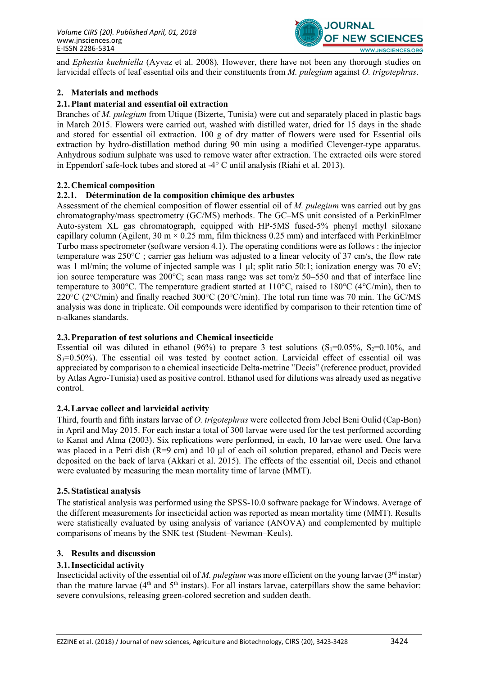

and Ephestia kuehniella (Ayvaz et al. 2008). However, there have not been any thorough studies on larvicidal effects of leaf essential oils and their constituents from *M. pulegium* against *O. trigotephras.* 

### 2. Materials and methods

### 2.1.Plant material and essential oil extraction

Branches of M. pulegium from Utique (Bizerte, Tunisia) were cut and separately placed in plastic bags in March 2015. Flowers were carried out, washed with distilled water, dried for 15 days in the shade and stored for essential oil extraction. 100 g of dry matter of flowers were used for Essential oils extraction by hydro-distillation method during 90 min using a modified Clevenger-type apparatus. Anhydrous sodium sulphate was used to remove water after extraction. The extracted oils were stored in Eppendorf safe-lock tubes and stored at -4° C until analysis (Riahi et al. 2013).

#### 2.2.Chemical composition

#### 2.2.1. Détermination de la composition chimique des arbustes

Assessment of the chemical composition of flower essential oil of M. pulegium was carried out by gas chromatography/mass spectrometry (GC/MS) methods. The GC–MS unit consisted of a PerkinElmer Auto-system XL gas chromatograph, equipped with HP-5MS fused-5% phenyl methyl siloxane capillary column (Agilent,  $30 \text{ m} \times 0.25 \text{ mm}$ , film thickness 0.25 mm) and interfaced with PerkinElmer Turbo mass spectrometer (software version 4.1). The operating conditions were as follows : the injector temperature was 250°C ; carrier gas helium was adjusted to a linear velocity of 37 cm/s, the flow rate was 1 ml/min; the volume of injected sample was 1  $\mu$ l; split ratio 50:1; ionization energy was 70 eV; ion source temperature was 200°C; scan mass range was set tom/z 50–550 and that of interface line temperature to 300°C. The temperature gradient started at 110°C, raised to 180°C (4°C/min), then to 220 $^{\circ}$ C (2 $^{\circ}$ C/min) and finally reached 300 $^{\circ}$ C (20 $^{\circ}$ C/min). The total run time was 70 min. The GC/MS analysis was done in triplicate. Oil compounds were identified by comparison to their retention time of n-alkanes standards.

#### 2.3.Preparation of test solutions and Chemical insecticide

Essential oil was diluted in ethanol (96%) to prepare 3 test solutions  $(S_1=0.05\%, S_2=0.10\%, \text{ and})$  $S_3$ =0.50%). The essential oil was tested by contact action. Larvicidal effect of essential oil was appreciated by comparison to a chemical insecticide Delta-metrine "Decis" (reference product, provided by Atlas Agro-Tunisia) used as positive control. Ethanol used for dilutions was already used as negative control.

#### 2.4.Larvae collect and larvicidal activity

Third, fourth and fifth instars larvae of O. trigotephras were collected from Jebel Beni Oulid (Cap-Bon) in April and May 2015. For each instar a total of 300 larvae were used for the test performed according to Kanat and Alma (2003). Six replications were performed, in each, 10 larvae were used. One larva was placed in a Petri dish ( $R=9$  cm) and 10  $\mu$ l of each oil solution prepared, ethanol and Decis were deposited on the back of larva (Akkari et al. 2015). The effects of the essential oil, Decis and ethanol were evaluated by measuring the mean mortality time of larvae (MMT).

#### 2.5.Statistical analysis

The statistical analysis was performed using the SPSS-10.0 software package for Windows. Average of the different measurements for insecticidal action was reported as mean mortality time (MMT). Results were statistically evaluated by using analysis of variance (ANOVA) and complemented by multiple comparisons of means by the SNK test (Student–Newman–Keuls).

#### 3. Results and discussion

#### 3.1.Insecticidal activity

Insecticidal activity of the essential oil of M. pulggium was more efficient on the young larvae ( $3<sup>rd</sup>$  instar) than the mature larvae  $(4<sup>th</sup>$  and  $5<sup>th</sup>$  instars). For all instars larvae, caterpillars show the same behavior: severe convulsions, releasing green-colored secretion and sudden death.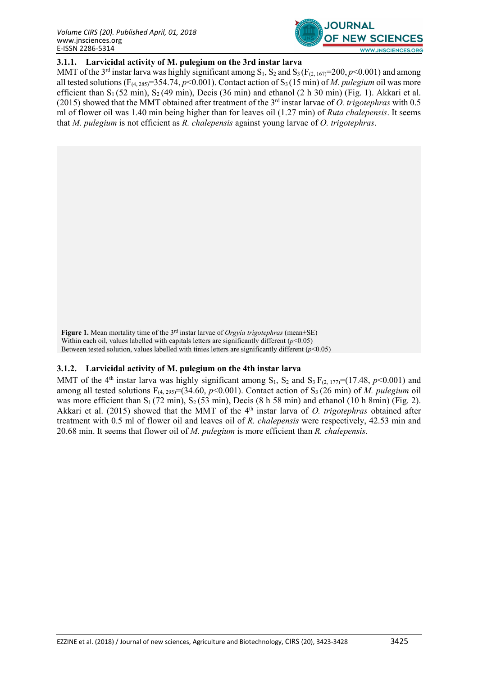

## 3.1.1. Larvicidal activity of M. pulegium on the 3rd instar larva

MMT of the 3<sup>rd</sup> instar larva was highly significant among  $S_1$ ,  $S_2$  and  $S_3$  ( $F_{(2, 167)}$ =200,  $p$ <0.001) and among all tested solutions ( $F_{(4, 285)} = 354.74$ ,  $p < 0.001$ ). Contact action of S<sub>3</sub> (15 min) of *M. pulegium* oil was more efficient than  $S_1$  (52 min),  $S_2$  (49 min), Decis (36 min) and ethanol (2 h 30 min) (Fig. 1). Akkari et al. (2015) showed that the MMT obtained after treatment of the  $3<sup>rd</sup>$  instar larvae of O. trigotephras with 0.5 ml of flower oil was 1.40 min being higher than for leaves oil (1.27 min) of Ruta chalepensis. It seems that M. pulegium is not efficient as R. chalepensis against young larvae of  $O$ . trigotephras.

Figure 1. Mean mortality time of the  $3<sup>rd</sup>$  instar larvae of *Orgyia trigotephras* (mean $\pm$ SE) Within each oil, values labelled with capitals letters are significantly different  $(p<0.05)$ Between tested solution, values labelled with tinies letters are significantly different  $(p<0.05)$ 

#### 3.1.2. Larvicidal activity of M. pulegium on the 4th instar larva

MMT of the 4<sup>th</sup> instar larva was highly significant among  $S_1$ ,  $S_2$  and  $S_3 F_{(2, 177)} = (17.48, p<0.001)$  and among all tested solutions  $F_{(4, 295)} = (34.60, p \le 0.001)$ . Contact action of S<sub>3</sub> (26 min) of *M. pulegium* oil was more efficient than  $S_1$  (72 min),  $S_2$  (53 min), Decis (8 h 58 min) and ethanol (10 h 8min) (Fig. 2). Akkari et al. (2015) showed that the MMT of the  $4<sup>th</sup>$  instar larva of O. trigotephras obtained after treatment with 0.5 ml of flower oil and leaves oil of R. chalepensis were respectively, 42.53 min and 20.68 min. It seems that flower oil of  $M$ . pulggium is more efficient than  $R$ . chalepensis.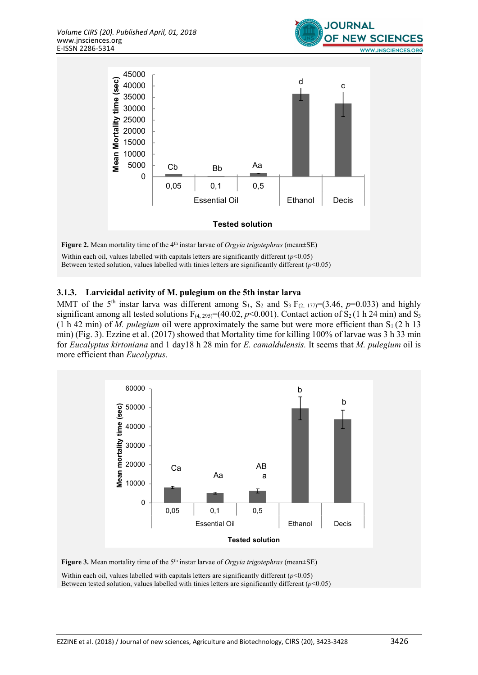

Within each oil, values labelled with capitals letters are significantly different  $(p<0.05)$ Between tested solution, values labelled with tinies letters are significantly different ( $p$ <0.05)

#### 3.1.3. Larvicidal activity of M. pulegium on the 5th instar larva

MMT of the 5<sup>th</sup> instar larva was different among S<sub>1</sub>, S<sub>2</sub> and S<sub>3</sub> F<sub>(2, 177)</sub>=(3.46, p=0.033) and highly significant among all tested solutions  $F_{(4, 295)} = (40.02, p<0.001)$ . Contact action of S<sub>2</sub> (1 h 24 min) and S<sub>3</sub> (1 h 42 min) of M. pulegium oil were approximately the same but were more efficient than  $S_1$  (2 h 13 min) (Fig. 3). Ezzine et al. (2017) showed that Mortality time for killing 100% of larvae was 3 h 33 min for Eucalyptus kirtoniana and 1 day18 h 28 min for E. camaldulensis. It seems that M. pulegium oil is more efficient than Eucalyptus.



Figure 3. Mean mortality time of the  $5<sup>th</sup>$  instar larvae of *Orgyia trigotephras* (mean $\pm$ SE)

Within each oil, values labelled with capitals letters are significantly different  $(p<0.05)$ Between tested solution, values labelled with tinies letters are significantly different  $(p<0.05)$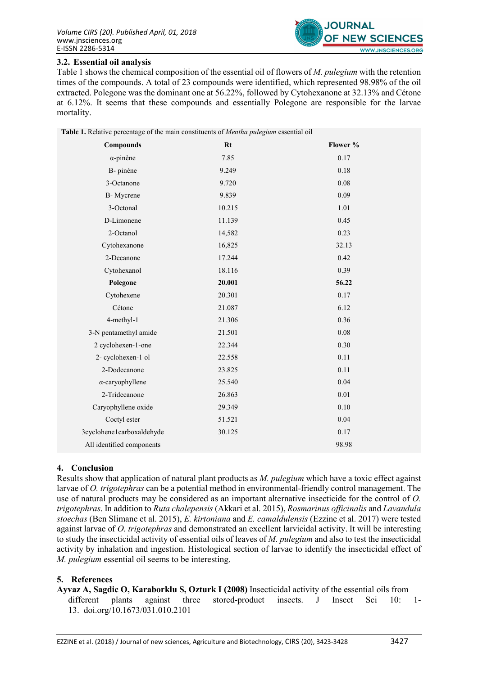

#### 3.2. Essential oil analysis

Table 1 shows the chemical composition of the essential oil of flowers of M. pulegium with the retention times of the compounds. A total of 23 compounds were identified, which represented 98.98% of the oil extracted. Polegone was the dominant one at 56.22%, followed by Cytohexanone at 32.13% and Cétone at 6.12%. It seems that these compounds and essentially Polegone are responsible for the larvae mortality.

| Table 1. Relative percentage of the main constituents of Mentha pulegium essential oil |        |          |
|----------------------------------------------------------------------------------------|--------|----------|
| <b>Compounds</b>                                                                       | $Rt$   | Flower % |
| $\alpha$ -pinène                                                                       | 7.85   | 0.17     |
| B- pinène                                                                              | 9.249  | 0.18     |
| 3-Octanone                                                                             | 9.720  | 0.08     |
| B-Mycrene                                                                              | 9.839  | 0.09     |
| 3-Octonal                                                                              | 10.215 | 1.01     |
| D-Limonene                                                                             | 11.139 | 0.45     |
| 2-Octanol                                                                              | 14,582 | 0.23     |
| Cytohexanone                                                                           | 16,825 | 32.13    |
| 2-Decanone                                                                             | 17.244 | 0.42     |
| Cytohexanol                                                                            | 18.116 | 0.39     |
| Polegone                                                                               | 20.001 | 56.22    |
| Cytohexene                                                                             | 20.301 | 0.17     |
| Cétone                                                                                 | 21.087 | 6.12     |
| 4-methyl-1                                                                             | 21.306 | 0.36     |
| 3-N pentamethyl amide                                                                  | 21.501 | $0.08\,$ |
| 2 cyclohexen-1-one                                                                     | 22.344 | 0.30     |
| 2- cyclohexen-1 ol                                                                     | 22.558 | 0.11     |
| 2-Dodecanone                                                                           | 23.825 | 0.11     |
| $\alpha$ -caryophyllene                                                                | 25.540 | 0.04     |
| 2-Tridecanone                                                                          | 26.863 | 0.01     |
| Caryophyllene oxide                                                                    | 29.349 | 0.10     |
| Coctyl ester                                                                           | 51.521 | 0.04     |
| 3cyclohene1carboxaldehyde                                                              | 30.125 | 0.17     |
| All identified components                                                              |        | 98.98    |

#### 4. Conclusion

Results show that application of natural plant products as M. pulegium which have a toxic effect against larvae of O. trigotephras can be a potential method in environmental-friendly control management. The use of natural products may be considered as an important alternative insecticide for the control of O. trigotephras. In addition to Ruta chalepensis (Akkari et al. 2015), Rosmarinus officinalis and Lavandula stoechas (Ben Slimane et al. 2015), E. kirtoniana and E. camaldulensis (Ezzine et al. 2017) were tested against larvae of O. trigotephras and demonstrated an excellent larvicidal activity. It will be interesting to study the insecticidal activity of essential oils of leaves of M. pulegium and also to test the insecticidal activity by inhalation and ingestion. Histological section of larvae to identify the insecticidal effect of M. pulegium essential oil seems to be interesting.

#### 5. References

Ayvaz A, Sagdic O, Karaborklu S, Ozturk I (2008) Insecticidal activity of the essential oils from different plants against three stored-product insects. J Insect Sci 10: 1-13. doi.org/10.1673/031.010.2101